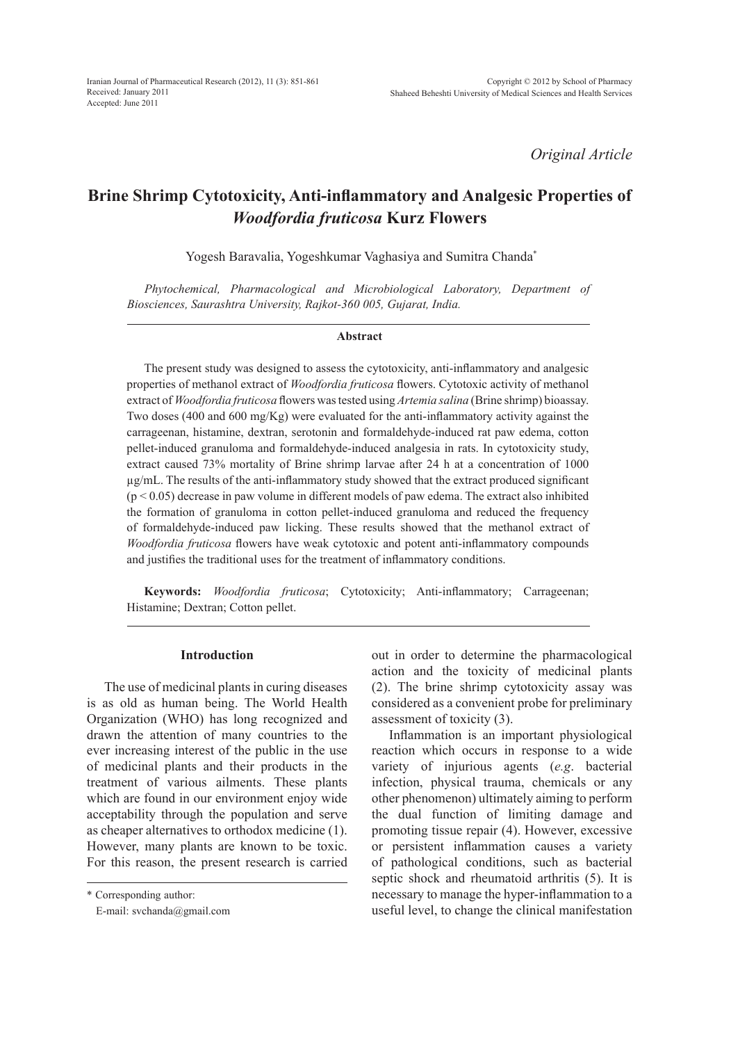*Original Article*

# **Brine Shrimp Cytotoxicity, Anti-inflammatory and Analgesic Properties of** *Woodfordia fruticosa* **Kurz Flowers**

Yogesh Baravalia, Yogeshkumar Vaghasiya and Sumitra Chanda\*

*Phytochemical, Pharmacological and Microbiological Laboratory, Department of Biosciences, Saurashtra University, Rajkot-360 005, Gujarat, India.*

#### **Abstract**

The present study was designed to assess the cytotoxicity, anti-inflammatory and analgesic properties of methanol extract of *Woodfordia fruticosa* flowers. Cytotoxic activity of methanol extract of *Woodfordia fruticosa* flowers was tested using *Artemia salina* (Brine shrimp) bioassay. Two doses (400 and 600 mg/Kg) were evaluated for the anti-inflammatory activity against the carrageenan, histamine, dextran, serotonin and formaldehyde-induced rat paw edema, cotton pellet-induced granuloma and formaldehyde-induced analgesia in rats. In cytotoxicity study, extract caused 73% mortality of Brine shrimp larvae after 24 h at a concentration of 1000 µg/mL. The results of the anti-inflammatory study showed that the extract produced significant  $(p < 0.05)$  decrease in paw volume in different models of paw edema. The extract also inhibited the formation of granuloma in cotton pellet-induced granuloma and reduced the frequency of formaldehyde-induced paw licking. These results showed that the methanol extract of *Woodfordia fruticosa* flowers have weak cytotoxic and potent anti-inflammatory compounds and justifies the traditional uses for the treatment of inflammatory conditions.

**Keywords:** *Woodfordia fruticosa*; Cytotoxicity; Anti-inflammatory; Carrageenan; Histamine; Dextran; Cotton pellet.

## **Introduction**

The use of medicinal plants in curing diseases is as old as human being. The World Health Organization (WHO) has long recognized and drawn the attention of many countries to the ever increasing interest of the public in the use of medicinal plants and their products in the treatment of various ailments. These plants which are found in our environment enjoy wide acceptability through the population and serve as cheaper alternatives to orthodox medicine (1). However, many plants are known to be toxic. For this reason, the present research is carried

\* Corresponding author:

E-mail: svchanda@gmail.com

out in order to determine the pharmacological action and the toxicity of medicinal plants (2). The brine shrimp cytotoxicity assay was considered as a convenient probe for preliminary assessment of toxicity (3).

Inflammation is an important physiological reaction which occurs in response to a wide variety of injurious agents (*e.g*. bacterial infection, physical trauma, chemicals or any other phenomenon) ultimately aiming to perform the dual function of limiting damage and promoting tissue repair (4). However, excessive or persistent inflammation causes a variety of pathological conditions, such as bacterial septic shock and rheumatoid arthritis (5). It is necessary to manage the hyper-inflammation to a useful level, to change the clinical manifestation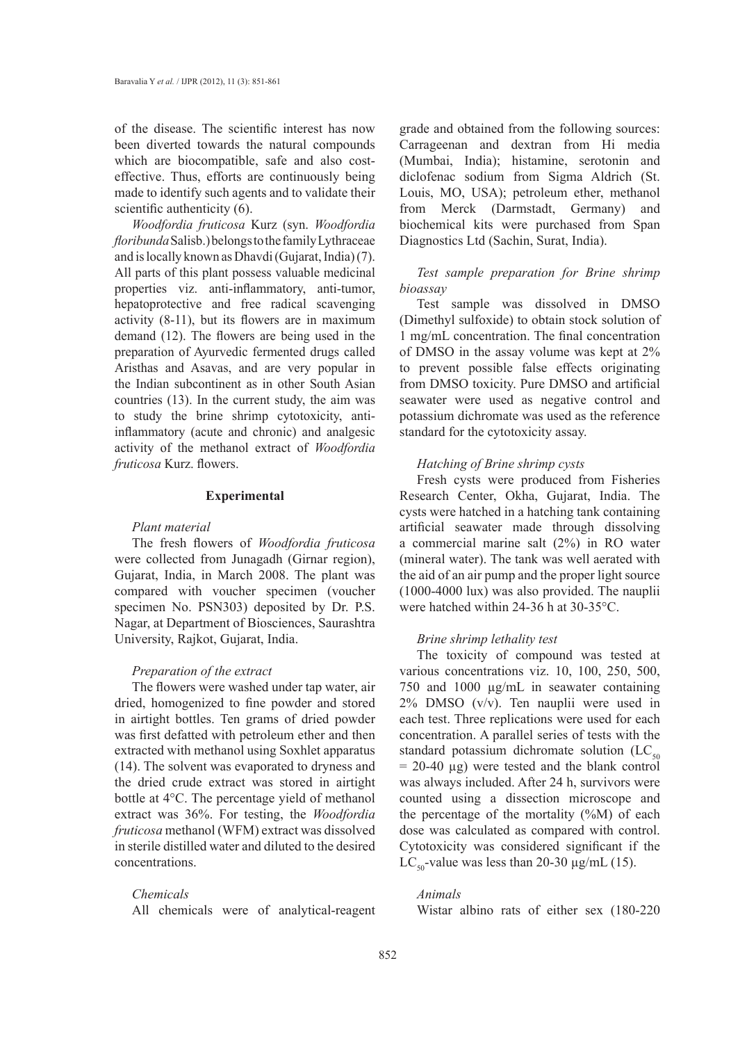of the disease. The scientific interest has now been diverted towards the natural compounds which are biocompatible, safe and also costeffective. Thus, efforts are continuously being made to identify such agents and to validate their scientific authenticity  $(6)$ .

*Woodfordia fruticosa* Kurz (syn. *Woodfordia floribunda* Salisb.) belongs to the family Lythraceae and is locally known as Dhavdi (Gujarat, India) (7). All parts of this plant possess valuable medicinal properties viz. anti-inflammatory, anti-tumor, hepatoprotective and free radical scavenging activity (8-11), but its flowers are in maximum demand (12). The flowers are being used in the preparation of Ayurvedic fermented drugs called Aristhas and Asavas, and are very popular in the Indian subcontinent as in other South Asian countries (13). In the current study, the aim was to study the brine shrimp cytotoxicity, antiinflammatory (acute and chronic) and analgesic activity of the methanol extract of *Woodfordia fruticosa* Kurz. flowers.

## **Experimental**

#### *Plant material*

The fresh flowers of *Woodfordia fruticosa* were collected from Junagadh (Girnar region), Gujarat, India, in March 2008. The plant was compared with voucher specimen (voucher specimen No. PSN303) deposited by Dr. P.S. Nagar, at Department of Biosciences, Saurashtra University, Rajkot, Gujarat, India.

## *Preparation of the extract*

The flowers were washed under tap water, air dried, homogenized to fine powder and stored in airtight bottles. Ten grams of dried powder was first defatted with petroleum ether and then extracted with methanol using Soxhlet apparatus (14). The solvent was evaporated to dryness and the dried crude extract was stored in airtight bottle at 4°C. The percentage yield of methanol extract was 36%. For testing, the *Woodfordia fruticosa* methanol (WFM) extract was dissolved in sterile distilled water and diluted to the desired concentrations.

## *Chemicals*

All chemicals were of analytical-reagent

grade and obtained from the following sources: Carrageenan and dextran from Hi media (Mumbai, India); histamine, serotonin and diclofenac sodium from Sigma Aldrich (St. Louis, MO, USA); petroleum ether, methanol from Merck (Darmstadt, Germany) and biochemical kits were purchased from Span Diagnostics Ltd (Sachin, Surat, India).

## *Test sample preparation for Brine shrimp bioassay*

Test sample was dissolved in DMSO (Dimethyl sulfoxide) to obtain stock solution of 1 mg/mL concentration. The final concentration of DMSO in the assay volume was kept at 2% to prevent possible false effects originating from DMSO toxicity. Pure DMSO and artificial seawater were used as negative control and potassium dichromate was used as the reference standard for the cytotoxicity assay.

## *Hatching of Brine shrimp cysts*

Fresh cysts were produced from Fisheries Research Center, Okha, Gujarat, India. The cysts were hatched in a hatching tank containing artificial seawater made through dissolving a commercial marine salt (2%) in RO water (mineral water). The tank was well aerated with the aid of an air pump and the proper light source (1000-4000 lux) was also provided. The nauplii were hatched within 24-36 h at 30-35°C.

#### *Brine shrimp lethality test*

The toxicity of compound was tested at various concentrations viz. 10, 100, 250, 500, 750 and 1000 µg/mL in seawater containing 2% DMSO (v/v). Ten nauplii were used in each test. Three replications were used for each concentration. A parallel series of tests with the standard potassium dichromate solution  $(LC_{50})$  $= 20-40 \text{ µg}$ ) were tested and the blank control was always included. After 24 h, survivors were counted using a dissection microscope and the percentage of the mortality (%M) of each dose was calculated as compared with control. Cytotoxicity was considered significant if the LC<sub>50</sub>-value was less than 20-30  $\mu$ g/mL (15).

## *Animals*

Wistar albino rats of either sex (180-220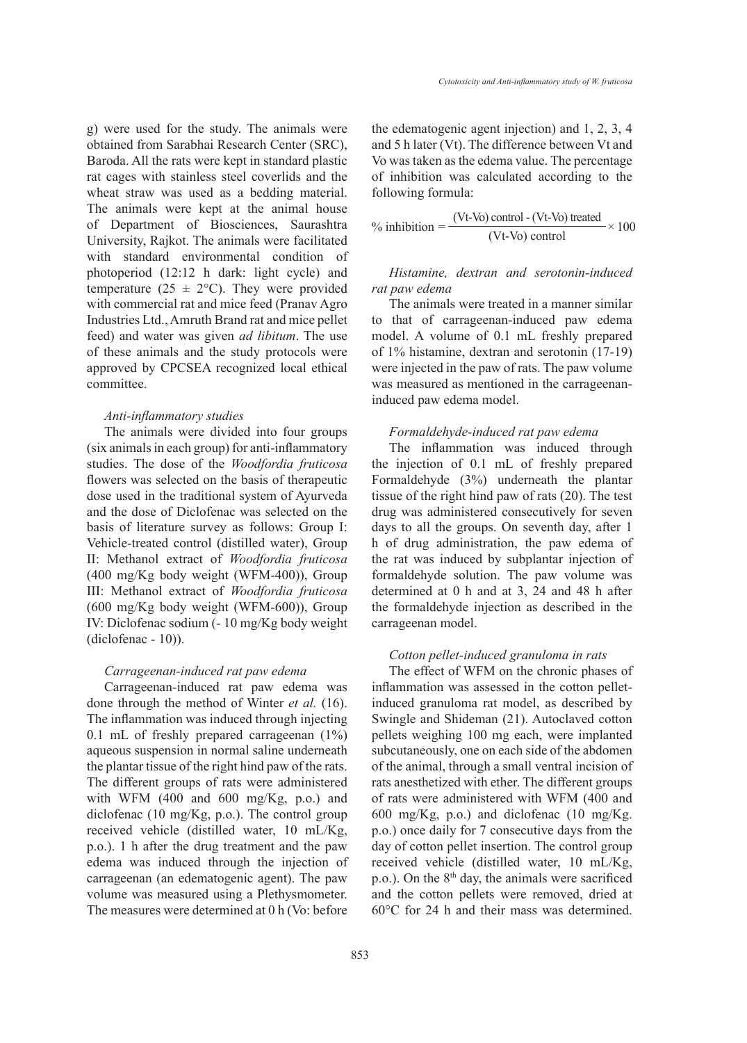g) were used for the study. The animals were obtained from Sarabhai Research Center (SRC), Baroda. All the rats were kept in standard plastic rat cages with stainless steel coverlids and the wheat straw was used as a bedding material. The animals were kept at the animal house of Department of Biosciences, Saurashtra University, Rajkot. The animals were facilitated with standard environmental condition of photoperiod (12:12 h dark: light cycle) and temperature (25  $\pm$  2°C). They were provided with commercial rat and mice feed (Pranav Agro Industries Ltd., Amruth Brand rat and mice pellet feed) and water was given *ad libitum*. The use of these animals and the study protocols were approved by CPCSEA recognized local ethical committee.

## *Anti-inflammatory studies*

The animals were divided into four groups (six animals in each group) for anti-inflammatory studies. The dose of the *Woodfordia fruticosa* flowers was selected on the basis of therapeutic dose used in the traditional system of Ayurveda and the dose of Diclofenac was selected on the basis of literature survey as follows: Group I: Vehicle-treated control (distilled water), Group II: Methanol extract of *Woodfordia fruticosa* (400 mg/Kg body weight (WFM-400)), Group III: Methanol extract of *Woodfordia fruticosa* (600 mg/Kg body weight (WFM-600)), Group IV: Diclofenac sodium (- 10 mg/Kg body weight (diclofenac - 10)).

## *Carrageenan-induced rat paw edema*

Carrageenan-induced rat paw edema was done through the method of Winter *et al.* (16). The inflammation was induced through injecting 0.1 mL of freshly prepared carrageenan (1%) aqueous suspension in normal saline underneath the plantar tissue of the right hind paw of the rats. The different groups of rats were administered with WFM (400 and 600 mg/Kg, p.o.) and diclofenac (10 mg/Kg, p.o.). The control group received vehicle (distilled water, 10 mL/Kg, p.o.). 1 h after the drug treatment and the paw edema was induced through the injection of carrageenan (an edematogenic agent). The paw volume was measured using a Plethysmometer. The measures were determined at 0 h (Vo: before the edematogenic agent injection) and 1, 2, 3, 4 and 5 h later (Vt). The difference between Vt and Vo was taken as the edema value. The percentage of inhibition was calculated according to the following formula:

$$
\% inhibition = \frac{(Vt-Vo) \text{ control} - (Vt-Vo) \text{ treated}}{(Vt-Vo) \text{ control}} \times 100
$$

## *Histamine, dextran and serotonin-induced rat paw edema*

The animals were treated in a manner similar to that of carrageenan-induced paw edema model. A volume of 0.1 mL freshly prepared of 1% histamine, dextran and serotonin (17-19) were injected in the paw of rats. The paw volume was measured as mentioned in the carrageenaninduced paw edema model.

#### *Formaldehyde-induced rat paw edema*

The inflammation was induced through the injection of 0.1 mL of freshly prepared Formaldehyde (3%) underneath the plantar tissue of the right hind paw of rats (20). The test drug was administered consecutively for seven days to all the groups. On seventh day, after 1 h of drug administration, the paw edema of the rat was induced by subplantar injection of formaldehyde solution. The paw volume was determined at 0 h and at 3, 24 and 48 h after the formaldehyde injection as described in the carrageenan model.

## *Cotton pellet-induced granuloma in rats*

The effect of WFM on the chronic phases of inflammation was assessed in the cotton pelletinduced granuloma rat model, as described by Swingle and Shideman (21). Autoclaved cotton pellets weighing 100 mg each, were implanted subcutaneously, one on each side of the abdomen of the animal, through a small ventral incision of rats anesthetized with ether. The different groups of rats were administered with WFM (400 and 600 mg/Kg, p.o.) and diclofenac (10 mg/Kg. p.o.) once daily for 7 consecutive days from the day of cotton pellet insertion. The control group received vehicle (distilled water, 10 mL/Kg, p.o.). On the 8<sup>th</sup> day, the animals were sacrificed and the cotton pellets were removed, dried at 60°C for 24 h and their mass was determined.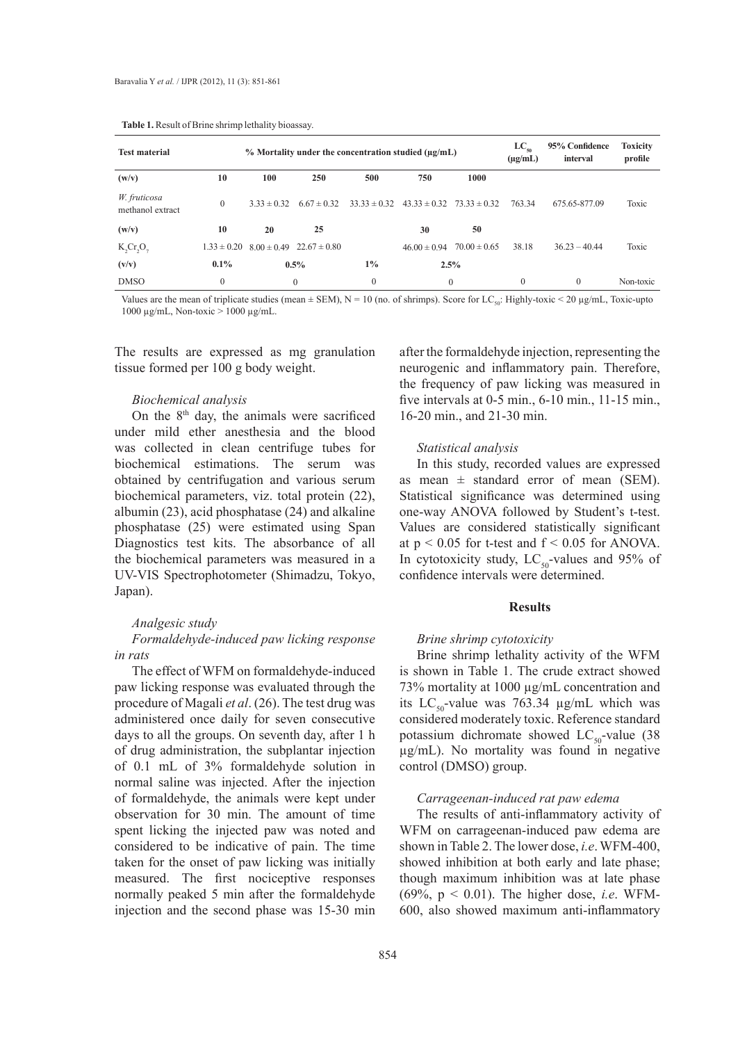**Table 1.** Result of Brine shrimp lethality bioassay.

| <b>Rapic 1.</b> Kesult of Brille silling rethanty proassay. |                 |                 |                                                              |                  |                           |                                   |                            |                 |           |  |  |
|-------------------------------------------------------------|-----------------|-----------------|--------------------------------------------------------------|------------------|---------------------------|-----------------------------------|----------------------------|-----------------|-----------|--|--|
| <b>Test material</b>                                        |                 |                 | $\%$ Mortality under the concentration studied ( $\mu$ g/mL) |                  | $LC_{so}$<br>$(\mu g/mL)$ | 95% Confidence<br>interval        | <b>Toxicity</b><br>profile |                 |           |  |  |
| (w/v)                                                       | 10              | 100             | 250                                                          | 500              | 750                       | 1000                              |                            |                 |           |  |  |
| W. fruticosa<br>methanol extract                            | $\Omega$        | $3.33 \pm 0.32$ | $6.67 \pm 0.32$                                              | $33.33 \pm 0.32$ |                           | $43.33 \pm 0.32$ $73.33 \pm 0.32$ | 763.34                     | 675.65-877.09   | Toxic     |  |  |
| (w/v)                                                       | 10              | 20              | 25                                                           |                  | 30                        | 50                                |                            |                 |           |  |  |
| K, Cr, O,                                                   | $1.33 \pm 0.20$ | $8.00 \pm 0.49$ | $22.67 \pm 0.80$                                             |                  | $46.00 \pm 0.94$          | $70.00 \pm 0.65$                  | 38.18                      | $36.23 - 40.44$ | Toxic     |  |  |
| (v/v)                                                       | $0.1\%$         |                 | $0.5\%$                                                      | $1\%$            |                           | 2.5%                              |                            |                 |           |  |  |
| <b>DMSO</b>                                                 | $\mathbf{0}$    |                 | $\Omega$                                                     | $\mathbf{0}$     |                           | $\mathbf{0}$                      | $\mathbf{0}$               | $\mathbf{0}$    | Non-toxic |  |  |

Values are the mean of triplicate studies (mean  $\pm$  SEM), N = 10 (no. of shrimps). Score for LC<sub>en</sub>: Highly-toxic < 20 µg/mL, Toxic-upto 1000 µg/mL, Non-toxic > 1000 µg/mL.

The results are expressed as mg granulation tissue formed per 100 g body weight.

#### *Biochemical analysis*

On the  $8<sup>th</sup>$  day, the animals were sacrificed under mild ether anesthesia and the blood was collected in clean centrifuge tubes for biochemical estimations. The serum was obtained by centrifugation and various serum biochemical parameters, viz. total protein (22), albumin (23), acid phosphatase (24) and alkaline phosphatase (25) were estimated using Span Diagnostics test kits. The absorbance of all the biochemical parameters was measured in a UV-VIS Spectrophotometer (Shimadzu, Tokyo, Japan).

## *Analgesic study*

*Formaldehyde-induced paw licking response in rats*

The effect of WFM on formaldehyde-induced paw licking response was evaluated through the procedure of Magali *et al*. (26). The test drug was administered once daily for seven consecutive days to all the groups. On seventh day, after 1 h of drug administration, the subplantar injection of 0.1 mL of 3% formaldehyde solution in normal saline was injected. After the injection of formaldehyde, the animals were kept under observation for 30 min. The amount of time spent licking the injected paw was noted and considered to be indicative of pain. The time taken for the onset of paw licking was initially measured. The first nociceptive responses normally peaked 5 min after the formaldehyde injection and the second phase was 15-30 min

after the formaldehyde injection, representing the neurogenic and inflammatory pain. Therefore, the frequency of paw licking was measured in five intervals at 0-5 min., 6-10 min., 11-15 min., 16-20 min., and 21-30 min.

#### *Statistical analysis*

In this study, recorded values are expressed as mean  $\pm$  standard error of mean (SEM). Statistical significance was determined using one-way ANOVA followed by Student's t-test. Values are considered statistically significant at  $p < 0.05$  for t-test and  $f < 0.05$  for ANOVA. In cytotoxicity study,  $LC_{50}$ -values and 95% of confidence intervals were determined.

## **Results**

#### *Brine shrimp cytotoxicity*

Brine shrimp lethality activity of the WFM is shown in Table 1. The crude extract showed 73% mortality at 1000 µg/mL concentration and its  $LC_{50}$ -value was 763.34  $\mu$ g/mL which was considered moderately toxic. Reference standard potassium dichromate showed  $LC_{50}$ -value (38) µg/mL). No mortality was found in negative control (DMSO) group.

## *Carrageenan-induced rat paw edema*

The results of anti-inflammatory activity of WFM on carrageenan-induced paw edema are shown in Table 2. The lower dose, *i.e*. WFM-400, showed inhibition at both early and late phase; though maximum inhibition was at late phase (69%, p < 0.01). The higher dose, *i.e*. WFM-600, also showed maximum anti-inflammatory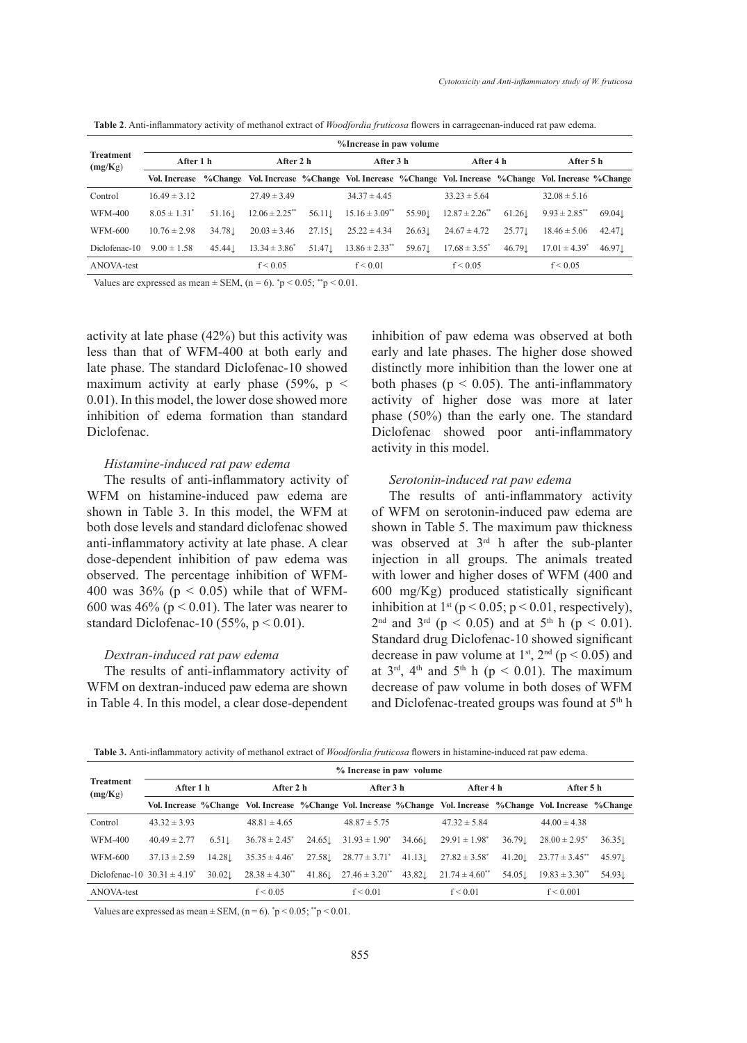| <b>Treatment</b><br>(mg/Kg) | %Increase in paw volume |         |                                                                                                               |                    |                                |            |                     |           |                    |                    |  |
|-----------------------------|-------------------------|---------|---------------------------------------------------------------------------------------------------------------|--------------------|--------------------------------|------------|---------------------|-----------|--------------------|--------------------|--|
|                             | After 1 h               |         | After 2 h                                                                                                     |                    |                                | After 3 h  |                     | After 4 h | After 5 h          |                    |  |
|                             |                         |         | Vol. Increase %Change Vol. Increase %Change Vol. Increase %Change Vol. Increase %Change Vol. Increase %Change |                    |                                |            |                     |           |                    |                    |  |
| Control                     | $16.49 \pm 3.12$        |         | $27.49 \pm 3.49$                                                                                              |                    | $34.37 \pm 4.45$               |            | $33.23 \pm 5.64$    |           | $32.08 \pm 5.16$   |                    |  |
| <b>WFM-400</b>              | $8.05 \pm 1.31^*$       | 51.161  | $12.06 \pm 2.25$ **                                                                                           | $56.11 \downarrow$ | $15.16 \pm 3.09$ <sup>**</sup> | 55.901     | $12.87 \pm 2.26$ ** | 61.26     | $9.93 \pm 2.85$ ** | 69.04 <sub>L</sub> |  |
| WFM-600                     | $10.76 \pm 2.98$        | 34.78.1 | $20.03 \pm 3.46$                                                                                              | 27.15              | $25.22 \pm 4.34$               | $26.63\pm$ | $24.67 \pm 4.72$    | 25.77.1   | $18.46 \pm 5.06$   | 42.471             |  |
| Diclofenac-10               | $9.00 \pm 1.58$         | 45.44   | $13.34 \pm 3.86^*$                                                                                            | 51.47.1            | $13.86 \pm 2.33$ <sup>**</sup> | 59.67.1    | $17.68 \pm 3.55^*$  | 46.79.1   | $17.01 \pm 4.39^*$ | 46.971             |  |
| ANOVA-test                  |                         |         | f < 0.05                                                                                                      |                    | f < 0.01                       |            | f < 0.05            |           | f < 0.05           |                    |  |

**Table 2**. Anti-inflammatory activity of methanol extract of *Woodfordia fruticosa* flowers in carrageenan-induced rat paw edema.

Values are expressed as mean  $\pm$  SEM, (n = 6).  $\degree$ p < 0.05;  $\degree$ <sup>\*</sup>p < 0.01.

activity at late phase (42%) but this activity was less than that of WFM-400 at both early and late phase. The standard Diclofenac-10 showed maximum activity at early phase  $(59\% , p <$ 0.01). In this model, the lower dose showed more inhibition of edema formation than standard Diclofenac.

#### *Histamine-induced rat paw edema*

The results of anti-inflammatory activity of WFM on histamine-induced paw edema are shown in Table 3. In this model, the WFM at both dose levels and standard diclofenac showed anti-inflammatory activity at late phase. A clear dose-dependent inhibition of paw edema was observed. The percentage inhibition of WFM-400 was  $36\%$  (p < 0.05) while that of WFM-600 was  $46\%$  ( $p < 0.01$ ). The later was nearer to standard Diclofenac-10 (55%,  $p < 0.01$ ).

## *Dextran-induced rat paw edema*

The results of anti-inflammatory activity of WFM on dextran-induced paw edema are shown in Table 4. In this model, a clear dose-dependent inhibition of paw edema was observed at both early and late phases. The higher dose showed distinctly more inhibition than the lower one at both phases ( $p < 0.05$ ). The anti-inflammatory activity of higher dose was more at later phase (50%) than the early one. The standard Diclofenac showed poor anti-inflammatory activity in this model.

## *Serotonin-induced rat paw edema*

The results of anti-inflammatory activity of WFM on serotonin-induced paw edema are shown in Table 5. The maximum paw thickness was observed at 3<sup>rd</sup> h after the sub-planter injection in all groups. The animals treated with lower and higher doses of WFM (400 and 600 mg/Kg) produced statistically significant inhibition at  $1<sup>st</sup>$  (p < 0.05; p < 0.01, respectively),  $2^{nd}$  and  $3^{rd}$  (p < 0.05) and at  $5^{th}$  h (p < 0.01). Standard drug Diclofenac-10 showed significant decrease in paw volume at  $1^{st}$ ,  $2^{nd}$  (p < 0.05) and at  $3<sup>rd</sup>$ ,  $4<sup>th</sup>$  and  $5<sup>th</sup>$  h (p < 0.01). The maximum decrease of paw volume in both doses of WFM and Diclofenac-treated groups was found at 5<sup>th</sup> h

**Table 3.** Anti-inflammatory activity of methanol extract of *Woodfordia fruticosa* flowers in histamine-induced rat paw edema.

|                                  | % Increase in paw volume |                   |                       |         |                                |           |                                                                                                               |           |                       |         |  |
|----------------------------------|--------------------------|-------------------|-----------------------|---------|--------------------------------|-----------|---------------------------------------------------------------------------------------------------------------|-----------|-----------------------|---------|--|
| <b>Treatment</b><br>(mg/Kg)      | After 1 h                |                   | After 2 h             |         | After 3 h                      |           | After 4 h                                                                                                     |           | After 5 h             |         |  |
|                                  |                          |                   |                       |         |                                |           | Vol. Increase %Change Vol. Increase %Change Vol. Increase %Change Vol. Increase %Change Vol. Increase %Change |           |                       |         |  |
| Control                          | $43.32 \pm 3.93$         |                   | $48.81 \pm 4.65$      |         | $48.87 \pm 5.75$               |           | $47.32 \pm 5.84$                                                                                              |           | $44.00 \pm 4.38$      |         |  |
| <b>WFM-400</b>                   | $40.49 \pm 2.77$         | $6.51 \downarrow$ | $36.78 \pm 2.45^*$    | 24.65 L | $31.93 \pm 1.90^*$             | 34.66.    | $29.91 \pm 1.98^*$                                                                                            | $36.79$ . | $28.00 \pm 2.95^*$    | 36.35   |  |
| WFM-600                          | $37.13 \pm 2.59$         | 14.28.1           | $35.35 \pm 4.46^*$    | 27.58.1 | $28.77 \pm 3.71^*$             | $41.13$ . | $27.82 \pm 3.58^*$                                                                                            | $41.20$ . | $23.77 \pm 3.45$ **   | 45.97.1 |  |
| Diclofenac-10 $30.31 \pm 4.19^*$ |                          | 30.02             | $28.38 \pm 4.30^{**}$ | 41.861  | $27.46 \pm 3.20$ <sup>**</sup> | 43.821    | $21.74 \pm 4.60$ <sup>**</sup>                                                                                | 54.05.1   | $19.83 \pm 3.30^{**}$ | 54.931  |  |
| ANOVA-test                       |                          |                   | f < 0.05              |         | f < 0.01                       |           | f < 0.01                                                                                                      |           | f < 0.001             |         |  |

Values are expressed as mean  $\pm$  SEM, (n = 6).  $\degree$ p < 0.05;  $\degree$ <sup>\*</sup>p < 0.01.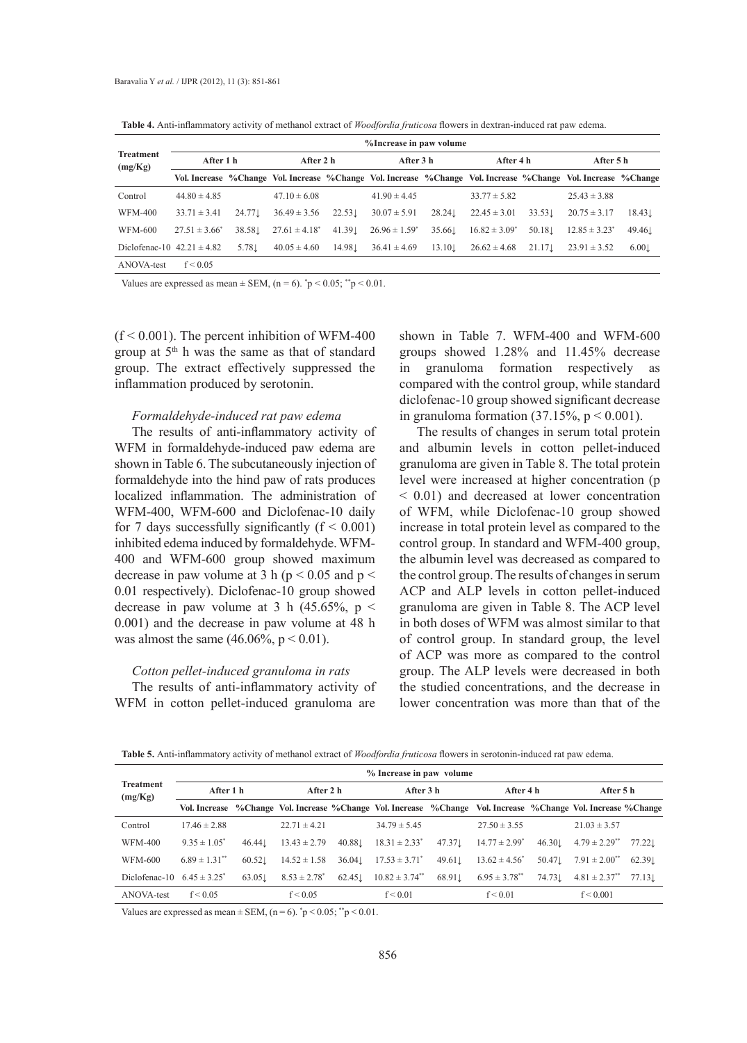**Table 4.** Anti-inflammatory activity of methanol extract of *Woodfordia fruticosa* flowers in dextran-induced rat paw edema.

| <b>Treatment</b><br>(mg/Kg)    | %Increase in paw volume |                  |                    |         |                    |                    |                    |                   |                                                                                                               |                   |  |
|--------------------------------|-------------------------|------------------|--------------------|---------|--------------------|--------------------|--------------------|-------------------|---------------------------------------------------------------------------------------------------------------|-------------------|--|
|                                | After 1 h               |                  | After 2 h          |         |                    | After 3 h          |                    | After 4 h         | After 5 h                                                                                                     |                   |  |
|                                |                         |                  |                    |         |                    |                    |                    |                   | Vol. Increase %Change Vol. Increase %Change Vol. Increase %Change Vol. Increase %Change Vol. Increase %Change |                   |  |
| Control                        | $44.80 \pm 4.85$        |                  | $47.10 \pm 6.08$   |         | $41.90 \pm 4.45$   |                    | $33.77 \pm 5.82$   |                   | $25.43 \pm 3.88$                                                                                              |                   |  |
| WFM-400                        | $33.71 \pm 3.41$        | 24.77.           | $36.49 \pm 3.56$   | 22.53   | $30.07 \pm 5.91$   | 28.24 <sup>L</sup> | $22.45 \pm 3.01$   | $33.53\downarrow$ | $20.75 \pm 3.17$                                                                                              | $18.43\downarrow$ |  |
| WFM-600                        | $27.51 \pm 3.66^*$      | 38.58.1          | $27.61 \pm 4.18^*$ | 41.39   | $26.96 \pm 1.59^*$ | 35.66.1            | $16.82 \pm 3.09^*$ | 50.18.1           | $12.85 \pm 3.23$ <sup>*</sup>                                                                                 | 49.461            |  |
| Diclofenac-10 $42.21 \pm 4.82$ |                         | $5.78\downarrow$ | $40.05 \pm 4.60$   | 14.98.1 | $36.41 \pm 4.69$   | 13.10              | $26.62 \pm 4.68$   | 21.17             | $23.91 \pm 3.52$                                                                                              | 6.001             |  |
| ANOVA-test                     | f < 0.05                |                  |                    |         |                    |                    |                    |                   |                                                                                                               |                   |  |

Values are expressed as mean  $\pm$  SEM, (n = 6).  $\degree$ p < 0.05;  $\degree$ <sup>\*</sup>p < 0.01.

 $(f < 0.001)$ . The percent inhibition of WFM-400 group at 5<sup>th</sup> h was the same as that of standard group. The extract effectively suppressed the inflammation produced by serotonin.

## *Formaldehyde-induced rat paw edema*

The results of anti-inflammatory activity of WFM in formaldehyde-induced paw edema are shown in Table 6. The subcutaneously injection of formaldehyde into the hind paw of rats produces localized inflammation. The administration of WFM-400, WFM-600 and Diclofenac-10 daily for 7 days successfully significantly  $(f < 0.001)$ inhibited edema induced by formaldehyde. WFM-400 and WFM-600 group showed maximum decrease in paw volume at 3 h ( $p < 0.05$  and  $p <$ 0.01 respectively). Diclofenac-10 group showed decrease in paw volume at 3 h  $(45.65\%), p <$ 0.001) and the decrease in paw volume at 48 h was almost the same  $(46.06\% , p < 0.01)$ .

## *Cotton pellet-induced granuloma in rats*

The results of anti-inflammatory activity of WFM in cotton pellet-induced granuloma are

shown in Table 7. WFM-400 and WFM-600 groups showed 1.28% and 11.45% decrease in granuloma formation respectively as compared with the control group, while standard diclofenac-10 group showed significant decrease in granuloma formation (37.15%,  $p < 0.001$ ).

The results of changes in serum total protein and albumin levels in cotton pellet-induced granuloma are given in Table 8. The total protein level were increased at higher concentration (p < 0.01) and decreased at lower concentration of WFM, while Diclofenac-10 group showed increase in total protein level as compared to the control group. In standard and WFM-400 group, the albumin level was decreased as compared to the control group. The results of changes in serum ACP and ALP levels in cotton pellet-induced granuloma are given in Table 8. The ACP level in both doses of WFM was almost similar to that of control group. In standard group, the level of ACP was more as compared to the control group. The ALP levels were decreased in both the studied concentrations, and the decrease in lower concentration was more than that of the

**Table 5.** Anti-inflammatory activity of methanol extract of *Woodfordia fruticosa* flowers in serotonin-induced rat paw edema.

|                                 | % Increase in paw volume      |        |                   |           |                                                                                                               |                    |                    |           |                               |           |  |
|---------------------------------|-------------------------------|--------|-------------------|-----------|---------------------------------------------------------------------------------------------------------------|--------------------|--------------------|-----------|-------------------------------|-----------|--|
| <b>Treatment</b><br>(mg/Kg)     | After 1 h                     |        |                   | After 2 h |                                                                                                               | After 3 h          |                    | After 4 h |                               | After 5 h |  |
|                                 |                               |        |                   |           | Vol. Increase %Change Vol. Increase %Change Vol. Increase %Change Vol. Increase %Change Vol. Increase %Change |                    |                    |           |                               |           |  |
| Control                         | $17.46 \pm 2.88$              |        | $22.71 \pm 4.21$  |           | $34.79 \pm 5.45$                                                                                              |                    | $27.50 \pm 3.55$   |           | $21.03 \pm 3.57$              |           |  |
| WFM-400                         | $9.35 \pm 1.05^*$             | 46.44  | $13.43 \pm 2.79$  | 40.88.1   | $18.31 \pm 2.33^*$                                                                                            | $47.37\perp$       | $14.77 \pm 2.99^*$ | 46.30     | $4.79 \pm 2.29$ **            | 77.221    |  |
| WFM-600                         | $6.89 \pm 1.31$ <sup>**</sup> | 60.52  | $14.52 \pm 1.58$  | 36.04     | $17.53 \pm 3.71^*$                                                                                            | $49.61 \downarrow$ | $13.62 \pm 4.56^*$ | 50.47.1   | $7.91 \pm 2.00^{**}$          | 62.391    |  |
| Diclofenac-10 $6.45 \pm 3.25^*$ |                               | 63.051 | $8.53 \pm 2.78^*$ | 62.45     | $10.82 \pm 3.74$ <sup>**</sup>                                                                                | 68.911             | $6.95 \pm 3.78$ ** | 74.73.    | $4.81 \pm 2.37$ <sup>**</sup> | $77.13$ . |  |
| ANOVA-test                      | f < 0.05                      |        | f < 0.05          |           | f < 0.01                                                                                                      |                    | f < 0.01           |           | f < 0.001                     |           |  |

Values are expressed as mean  $\pm$  SEM, (n = 6).  $\degree$ p < 0.05;  $\degree$ <sup>\*</sup>p < 0.01.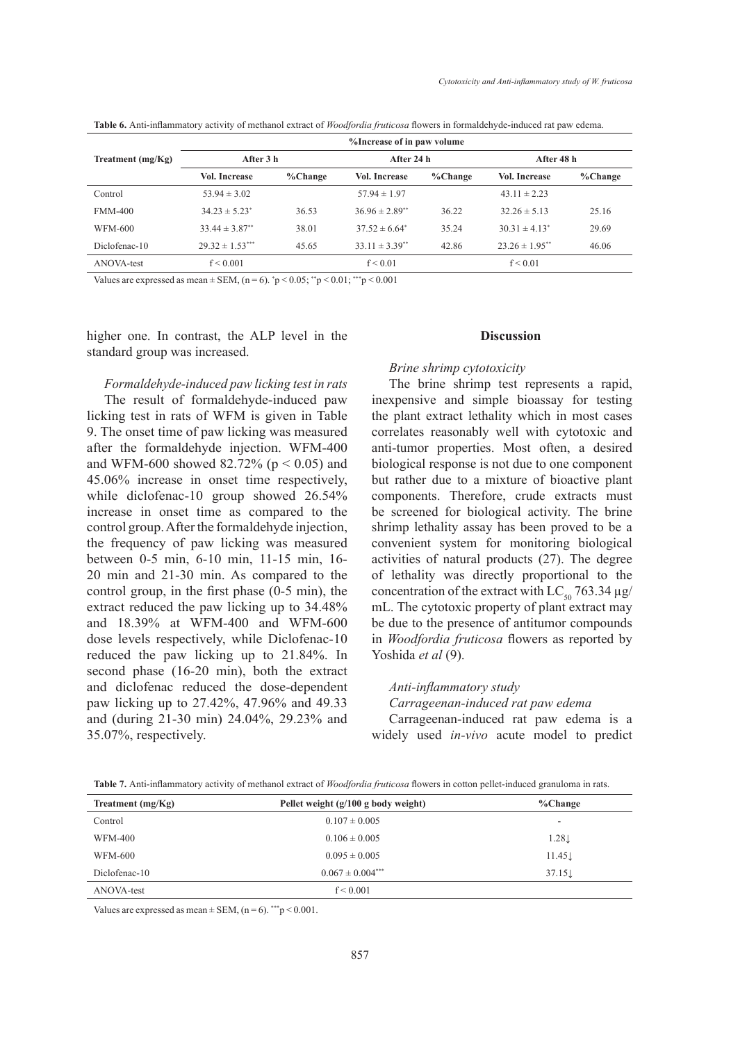|                     |                                | %Increase of in paw volume |                                |          |                                |          |  |  |  |  |
|---------------------|--------------------------------|----------------------------|--------------------------------|----------|--------------------------------|----------|--|--|--|--|
| Treatment $(mg/Kg)$ | After 3 h                      |                            | After 24 h                     |          | After 48 h                     |          |  |  |  |  |
|                     | <b>Vol. Increase</b>           | % Change                   | <b>Vol. Increase</b>           | % Change | <b>Vol. Increase</b>           | % Change |  |  |  |  |
| Control             | $53.94 \pm 3.02$               |                            | $57.94 \pm 1.97$               |          | $43.11 \pm 2.23$               |          |  |  |  |  |
| <b>FMM-400</b>      | $34.23 \pm 5.23$ <sup>*</sup>  | 36.53                      | $36.96 \pm 2.89$ <sup>**</sup> | 36.22    | $32.26 \pm 5.13$               | 25.16    |  |  |  |  |
| WFM-600             | $33.44 \pm 3.87$ <sup>**</sup> | 38.01                      | $37.52 \pm 6.64^{\circ}$       | 35.24    | $30.31 \pm 4.13^*$             | 29.69    |  |  |  |  |
| Diclofenac-10       | $29.32 \pm 1.53***$            | 45.65                      | $33.11 \pm 3.39$ <sup>**</sup> | 42.86    | $23.26 \pm 1.95$ <sup>**</sup> | 46.06    |  |  |  |  |
| ANOVA-test          | f < 0.001                      |                            | f < 0.01                       |          | f < 0.01                       |          |  |  |  |  |

**Table 6.** Anti-inflammatory activity of methanol extract of *Woodfordia fruticosa* flowers in formaldehyde-induced rat paw edema.

Values are expressed as mean  $\pm$  SEM, (n = 6).  $\degree$ p < 0.05;  $\degree$ <sup>\*</sup>p < 0.01;  $\degree$  \* $\degree$ p < 0.001

higher one. In contrast, the ALP level in the standard group was increased.

## *Formaldehyde-induced paw licking test in rats*

The result of formaldehyde-induced paw licking test in rats of WFM is given in Table 9. The onset time of paw licking was measured after the formaldehyde injection. WFM-400 and WFM-600 showed 82.72% ( $p < 0.05$ ) and 45.06% increase in onset time respectively, while diclofenac-10 group showed 26.54% increase in onset time as compared to the control group. After the formaldehyde injection, the frequency of paw licking was measured between 0-5 min, 6-10 min, 11-15 min, 16- 20 min and 21-30 min. As compared to the control group, in the first phase (0-5 min), the extract reduced the paw licking up to 34.48% and 18.39% at WFM-400 and WFM-600 dose levels respectively, while Diclofenac-10 reduced the paw licking up to 21.84%. In second phase (16-20 min), both the extract and diclofenac reduced the dose-dependent paw licking up to 27.42%, 47.96% and 49.33 and (during 21-30 min) 24.04%, 29.23% and 35.07%, respectively.

#### **Discussion**

#### *Brine shrimp cytotoxicity*

The brine shrimp test represents a rapid, inexpensive and simple bioassay for testing the plant extract lethality which in most cases correlates reasonably well with cytotoxic and anti-tumor properties. Most often, a desired biological response is not due to one component but rather due to a mixture of bioactive plant components. Therefore, crude extracts must be screened for biological activity. The brine shrimp lethality assay has been proved to be a convenient system for monitoring biological activities of natural products (27). The degree of lethality was directly proportional to the concentration of the extract with  $LC_{50}$  763.34  $\mu$ g/ mL. The cytotoxic property of plant extract may be due to the presence of antitumor compounds in *Woodfordia fruticosa* flowers as reported by Yoshida et al (9).

#### *Anti-inflammatory study*

#### *Carrageenan-induced rat paw edema*

Carrageenan-induced rat paw edema is a widely used *in-vivo* acute model to predict

| Table 7. Anti-inflammatory activity of methanol extract of Woodfordia fruticosa flowers in cotton pellet-induced granuloma in rats. |  |  |
|-------------------------------------------------------------------------------------------------------------------------------------|--|--|
|-------------------------------------------------------------------------------------------------------------------------------------|--|--|

| Treatment $(mg/Kg)$ | Pellet weight $(g/100 g$ body weight) | %Change                  |  |  |
|---------------------|---------------------------------------|--------------------------|--|--|
| Control             | $0.107 \pm 0.005$                     | $\overline{\phantom{a}}$ |  |  |
| <b>WFM-400</b>      | $0.106 \pm 0.005$                     | 1.28L                    |  |  |
| WFM-600             | $0.095 \pm 0.005$                     | $11.45\downarrow$        |  |  |
| Diclofenac-10       | $0.067 \pm 0.004$ ***                 | 37.151                   |  |  |
| ANOVA-test          | f < 0.001                             |                          |  |  |

Values are expressed as mean  $\pm$  SEM, (n = 6). \*\*\* p < 0.001.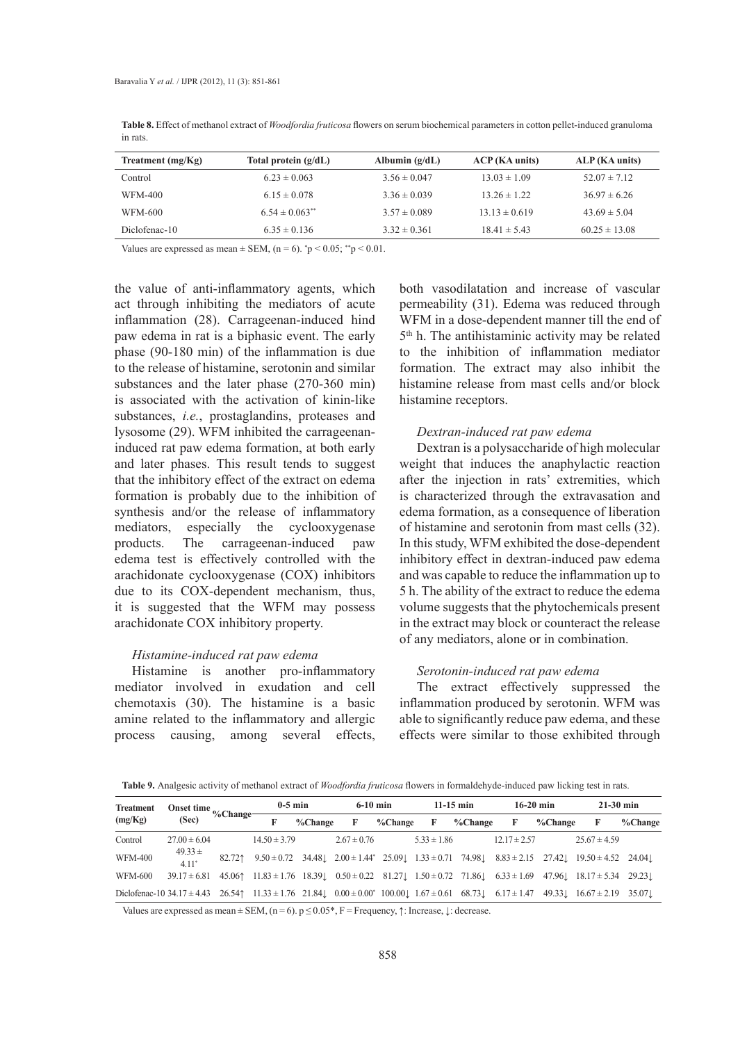| Treatment $(mg/Kg)$ | Total protein $(g/dL)$ | Albumin $(g/dL)$ | ACP (KA units)    | ALP (KA units)    |
|---------------------|------------------------|------------------|-------------------|-------------------|
| Control             | $6.23 \pm 0.063$       | $3.56 \pm 0.047$ | $13.03 \pm 1.09$  | $52.07 \pm 7.12$  |
| WFM-400             | $6.15 \pm 0.078$       | $3.36 \pm 0.039$ | $13.26 \pm 1.22$  | $36.97 \pm 6.26$  |
| WFM-600             | $6.54 \pm 0.063$ **    | $3.57 \pm 0.089$ | $13.13 \pm 0.619$ | $43.69 \pm 5.04$  |
| Diclofenac-10       | $6.35 \pm 0.136$       | $3.32 \pm 0.361$ | $18.41 \pm 5.43$  | $60.25 \pm 13.08$ |

**Table 8.** Effect of methanol extract of *Woodfordia fruticosa* flowers on serum biochemical parameters in cotton pellet-induced granuloma in rats.

Values are expressed as mean  $\pm$  SEM, (n = 6).  $\degree$ p < 0.05;  $\degree$ <sup>\*</sup>p < 0.01.

the value of anti-inflammatory agents, which act through inhibiting the mediators of acute inflammation (28). Carrageenan-induced hind paw edema in rat is a biphasic event. The early phase (90-180 min) of the inflammation is due to the release of histamine, serotonin and similar substances and the later phase (270-360 min) is associated with the activation of kinin-like substances, *i.e.*, prostaglandins, proteases and lysosome (29). WFM inhibited the carrageenaninduced rat paw edema formation, at both early and later phases. This result tends to suggest that the inhibitory effect of the extract on edema formation is probably due to the inhibition of synthesis and/or the release of inflammatory mediators, especially the cyclooxygenase products. The carrageenan-induced paw edema test is effectively controlled with the arachidonate cyclooxygenase (COX) inhibitors due to its COX-dependent mechanism, thus, it is suggested that the WFM may possess arachidonate COX inhibitory property.

## *Histamine-induced rat paw edema*

Histamine is another pro-inflammatory mediator involved in exudation and cell chemotaxis (30). The histamine is a basic amine related to the inflammatory and allergic process causing, among several effects,

both vasodilatation and increase of vascular permeability (31). Edema was reduced through WFM in a dose-dependent manner till the end of 5th h. The antihistaminic activity may be related to the inhibition of inflammation mediator formation. The extract may also inhibit the histamine release from mast cells and/or block histamine receptors.

#### *Dextran-induced rat paw edema*

Dextran is a polysaccharide of high molecular weight that induces the anaphylactic reaction after the injection in rats' extremities, which is characterized through the extravasation and edema formation, as a consequence of liberation of histamine and serotonin from mast cells (32). In this study, WFM exhibited the dose-dependent inhibitory effect in dextran-induced paw edema and was capable to reduce the inflammation up to 5 h. The ability of the extract to reduce the edema volume suggests that the phytochemicals present in the extract may block or counteract the release of any mediators, alone or in combination.

#### *Serotonin-induced rat paw edema*

The extract effectively suppressed the inflammation produced by serotonin. WFM was able to significantly reduce paw edema, and these effects were similar to those exhibited through

Table 9. Analgesic activity of methanol extract of *Woodfordia fruticosa* flowers in formaldehyde-induced paw licking test in rats.

| <b>Treatment</b><br>(mg/Kg)                                                                                                       |                        | Onset time %Change-<br>(Sec) | $0-5$ min        |         | $6-10$ min                                                                    |          | $11-15$ min     |         | $16-20$ min      |         | $21-30$ min                                                                                                                       |         |
|-----------------------------------------------------------------------------------------------------------------------------------|------------------------|------------------------------|------------------|---------|-------------------------------------------------------------------------------|----------|-----------------|---------|------------------|---------|-----------------------------------------------------------------------------------------------------------------------------------|---------|
|                                                                                                                                   |                        |                              |                  | %Change | F                                                                             | % Change | F               | %Change | F                | %Change | F                                                                                                                                 | %Change |
| Control                                                                                                                           | $27.00 \pm 6.04$       |                              | $14.50 \pm 3.79$ |         | $2.67 \pm 0.76$                                                               |          | $5.33 \pm 1.86$ |         | $12.17 \pm 2.57$ |         | $25.67 \pm 4.59$                                                                                                                  |         |
| <b>WFM-400</b>                                                                                                                    | $49.33 \pm$<br>$4.11*$ | 82.721                       |                  |         | $9.50 \pm 0.72$ $34.48$ , $2.00 \pm 1.44$ $25.09$ , $1.33 \pm 0.71$ $74.98$ , |          |                 |         |                  |         | $8.83 \pm 2.15$ $27.42 \pm 19.50 \pm 4.52$ $24.04 \pm 19.50 \pm 4.52$                                                             |         |
| WFM-600                                                                                                                           | $39.17 \pm 6.81$       |                              |                  |         |                                                                               |          |                 |         |                  |         | $45.06$ $11.83 \pm 1.76$ $18.39$ $0.50 \pm 0.22$ $81.27$ $1.50 \pm 0.72$ $71.86$ $6.33 \pm 1.69$ $47.96$ $18.17 \pm 5.34$ $29.23$ |         |
| Diclofenac-10 34.17 $\pm$ 4.43 26.54 11.33 $\pm$ 1.76 21.84 0.00 $\pm$ 0.00 $\pm$ 0.00 0.00 1.67 $\pm$ 0.61 68.73 6.17 $\pm$ 1.47 |                        |                              |                  |         |                                                                               |          |                 |         |                  |         | $49.33$ . $16.67 \pm 2.19$ 35.07.                                                                                                 |         |

Values are expressed as mean  $\pm$  SEM, (n = 6). p  $\leq$  0.05\*, F = Frequency,  $\uparrow$ : Increase,  $\downarrow$ : decrease.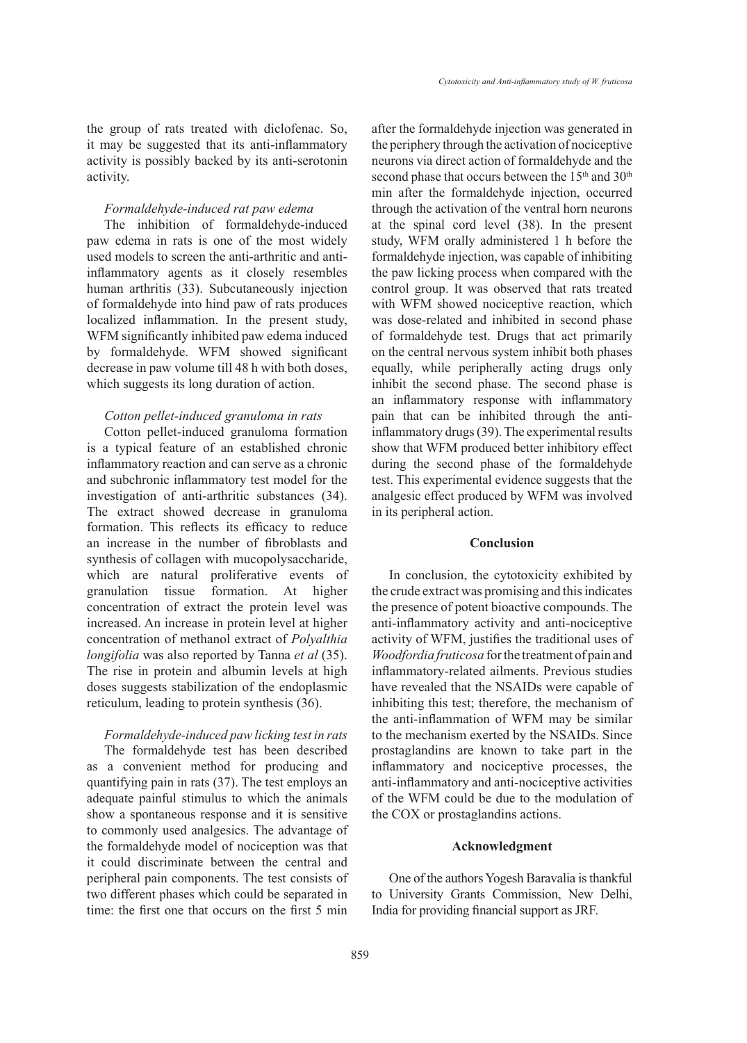the group of rats treated with diclofenac. So, it may be suggested that its anti-inflammatory activity is possibly backed by its anti-serotonin activity.

#### *Formaldehyde-induced rat paw edema*

The inhibition of formaldehyde-induced paw edema in rats is one of the most widely used models to screen the anti-arthritic and antiinflammatory agents as it closely resembles human arthritis (33). Subcutaneously injection of formaldehyde into hind paw of rats produces localized inflammation. In the present study, WFM significantly inhibited paw edema induced by formaldehyde. WFM showed significant decrease in paw volume till 48 h with both doses, which suggests its long duration of action.

## *Cotton pellet-induced granuloma in rats*

Cotton pellet-induced granuloma formation is a typical feature of an established chronic inflammatory reaction and can serve as a chronic and subchronic inflammatory test model for the investigation of anti-arthritic substances (34). The extract showed decrease in granuloma formation. This reflects its efficacy to reduce an increase in the number of fibroblasts and synthesis of collagen with mucopolysaccharide, which are natural proliferative events of granulation tissue formation. At higher concentration of extract the protein level was increased. An increase in protein level at higher concentration of methanol extract of *Polyalthia longifolia* was also reported by Tanna *et al* (35). The rise in protein and albumin levels at high doses suggests stabilization of the endoplasmic reticulum, leading to protein synthesis (36).

## *Formaldehyde-induced paw licking test in rats*

The formaldehyde test has been described as a convenient method for producing and quantifying pain in rats (37). The test employs an adequate painful stimulus to which the animals show a spontaneous response and it is sensitive to commonly used analgesics. The advantage of the formaldehyde model of nociception was that it could discriminate between the central and peripheral pain components. The test consists of two different phases which could be separated in time: the first one that occurs on the first 5 min

after the formaldehyde injection was generated in the periphery through the activation of nociceptive neurons via direct action of formaldehyde and the second phase that occurs between the 15<sup>th</sup> and 30<sup>th</sup> min after the formaldehyde injection, occurred through the activation of the ventral horn neurons at the spinal cord level (38). In the present study, WFM orally administered 1 h before the formaldehyde injection, was capable of inhibiting the paw licking process when compared with the control group. It was observed that rats treated with WFM showed nociceptive reaction, which was dose-related and inhibited in second phase of formaldehyde test. Drugs that act primarily on the central nervous system inhibit both phases equally, while peripherally acting drugs only inhibit the second phase. The second phase is an inflammatory response with inflammatory pain that can be inhibited through the antiinflammatory drugs (39). The experimental results show that WFM produced better inhibitory effect during the second phase of the formaldehyde test. This experimental evidence suggests that the analgesic effect produced by WFM was involved in its peripheral action.

## **Conclusion**

In conclusion, the cytotoxicity exhibited by the crude extract was promising and this indicates the presence of potent bioactive compounds. The anti-inflammatory activity and anti-nociceptive activity of WFM, justifies the traditional uses of *Woodfordia fruticosa* for the treatment of pain and inflammatory-related ailments. Previous studies have revealed that the NSAIDs were capable of inhibiting this test; therefore, the mechanism of the anti-inflammation of WFM may be similar to the mechanism exerted by the NSAIDs. Since prostaglandins are known to take part in the inflammatory and nociceptive processes, the anti-inflammatory and anti-nociceptive activities of the WFM could be due to the modulation of the COX or prostaglandins actions.

## **Acknowledgment**

One of the authors Yogesh Baravalia is thankful to University Grants Commission, New Delhi, India for providing financial support as JRF.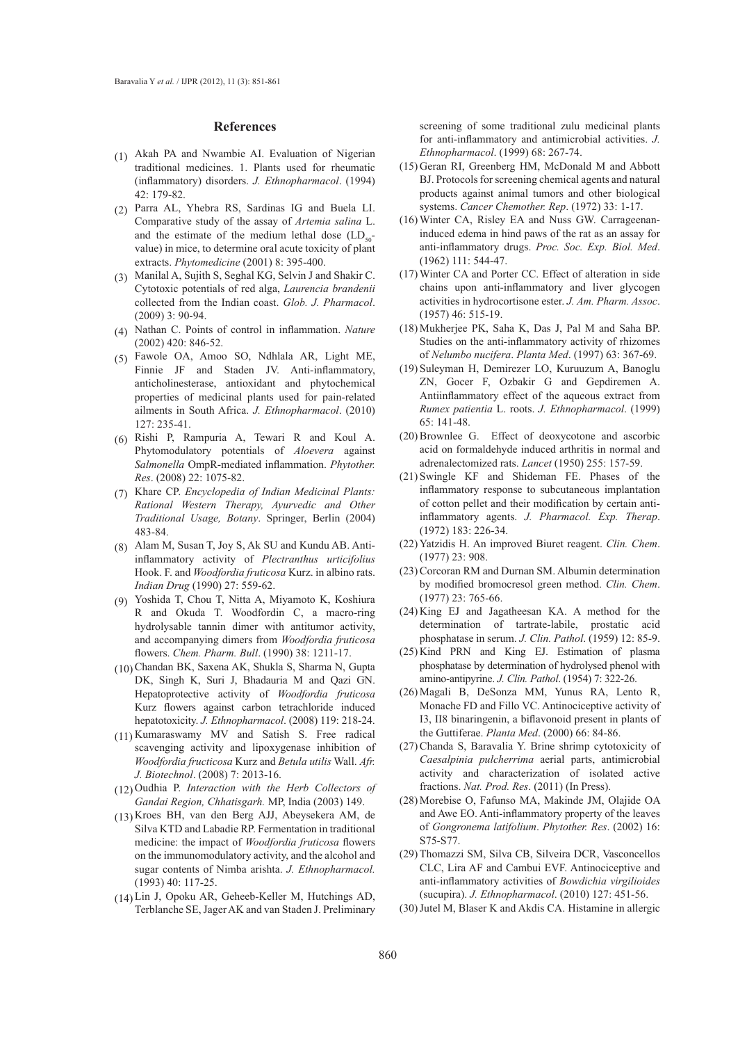#### **References**

- $(1)$  Akah PA and Nwambie AI. Evaluation of Nigerian traditional medicines. 1. Plants used for rheumatic (inflammatory) disorders. *J. Ethnopharmacol*. (1994) 42: 179-82.
- Parra AL, Yhebra RS, Sardinas IG and Buela LI. (2) Comparative study of the assay of *Artemia salina* L. and the estimate of the medium lethal dose  $(LD_{50}$ value) in mice, to determine oral acute toxicity of plant extracts. *Phytomedicine* (2001) 8: 395-400.
- Manilal A, Sujith S, Seghal KG, Selvin J and Shakir C. (3) Cytotoxic potentials of red alga, *Laurencia brandenii* collected from the Indian coast. *Glob. J. Pharmacol*. (2009) 3: 90-94.
- Nathan C. Points of control in inflammation. *Nature* (4) (2002) 420: 846-52.
- Fawole OA, Amoo SO, Ndhlala AR, Light ME, (5) Finnie JF and Staden JV. Anti-inflammatory, anticholinesterase, antioxidant and phytochemical properties of medicinal plants used for pain-related ailments in South Africa. *J. Ethnopharmacol*. (2010) 127: 235-41.
- $(6)$  Rishi P, Rampuria A, Tewari R and Koul A. Phytomodulatory potentials of *Aloevera* against *Salmonella* OmpR-mediated inflammation. *Phytother. Res*. (2008) 22: 1075-82.
- Khare CP. *Encyclopedia of Indian Medicinal Plants:*  (7) *Rational Western Therapy, Ayurvedic and Other Traditional Usage, Botany*. Springer, Berlin (2004) 483-84.
- Alam M, Susan T, Joy S, Ak SU and Kundu AB. Anti-(8) inflammatory activity of *Plectranthus urticifolius* Hook. F. and *Woodfordia fruticosa* Kurz. in albino rats. *Indian Drug* (1990) 27: 559-62.
- Yoshida T, Chou T, Nitta A, Miyamoto K, Koshiura (9) R and Okuda T. Woodfordin C, a macro-ring hydrolysable tannin dimer with antitumor activity, and accompanying dimers from *Woodfordia fruticosa* flowers. *Chem. Pharm. Bull*. (1990) 38: 1211-17.
- (10) Chandan BK, Saxena AK, Shukla S, Sharma N, Gupta DK, Singh K, Suri J, Bhadauria M and Qazi GN. Hepatoprotective activity of *Woodfordia fruticosa*  Kurz flowers against carbon tetrachloride induced hepatotoxicity. *J. Ethnopharmacol*. (2008) 119: 218-24.
- (11) Kumaraswamy MV and Satish S. Free radical scavenging activity and lipoxygenase inhibition of *Woodfordia fructicosa* Kurz and *Betula utilis* Wall. *Afr. J. Biotechnol*. (2008) 7: 2013-16.
- (12) Oudhia P. *Interaction with the Herb Collectors of Gandai Region, Chhatisgarh.* MP, India (2003) 149.
- Kroes BH, van den Berg AJJ, Abeysekera AM, de (13) Silva KTD and Labadie RP. Fermentation in traditional medicine: the impact of *Woodfordia fruticosa* flowers on the immunomodulatory activity, and the alcohol and sugar contents of Nimba arishta. *J. Ethnopharmacol.* (1993) 40: 117-25.
- (14) Lin J, Opoku AR, Geheeb-Keller M, Hutchings AD, Terblanche SE, Jager AK and van Staden J. Preliminary

screening of some traditional zulu medicinal plants for anti-inflammatory and antimicrobial activities. *J. Ethnopharmacol*. (1999) 68: 267-74.

- (15) Geran RI, Greenberg HM, McDonald M and Abbott BJ. Protocols for screening chemical agents and natural products against animal tumors and other biological systems. *Cancer Chemother. Rep*. (1972) 33: 1-17.
- Winter CA, Risley EA and Nuss GW. Carrageenan-(16) induced edema in hind paws of the rat as an assay for anti-inflammatory drugs. *Proc. Soc. Exp. Biol. Med*. (1962) 111: 544-47.
- Winter CA and Porter CC. Effect of alteration in side (17) chains upon anti-inflammatory and liver glycogen activities in hydrocortisone ester. *J. Am. Pharm. Assoc*. (1957) 46: 515-19.
- Mukherjee PK, Saha K, Das J, Pal M and Saha BP. (18) Studies on the anti-inflammatory activity of rhizomes of *Nelumbo nucifera*. *Planta Med*. (1997) 63: 367-69.
- (19) Suleyman H, Demirezer LO, Kuruuzum A, Banoglu ZN, Gocer F, Ozbakir G and Gepdiremen A. Antiinflammatory effect of the aqueous extract from *Rumex patientia* L. roots. *J. Ethnopharmacol*. (1999) 65: 141-48.
- $(20)$  Brownlee G. Effect of deoxycotone and ascorbic acid on formaldehyde induced arthritis in normal and adrenalectomized rats. *Lancet* (1950) 255: 157-59.
- $(21)$  Swingle KF and Shideman FE. Phases of the inflammatory response to subcutaneous implantation of cotton pellet and their modification by certain antiinflammatory agents. *J. Pharmacol. Exp. Therap*. (1972) 183: 226-34.
- (22) Yatzidis H. An improved Biuret reagent. *Clin. Chem.* (1977) 23: 908.
- (23) Corcoran RM and Durnan SM. Albumin determination by modified bromocresol green method. *Clin. Chem*. (1977) 23: 765-66.
- $(24)$  King EJ and Jagatheesan KA. A method for the determination of tartrate-labile, prostatic acid phosphatase in serum. *J. Clin. Pathol*. (1959) 12: 85-9.
- $(25)$  Kind PRN and King EJ. Estimation of plasma phosphatase by determination of hydrolysed phenol with amino-antipyrine. *J. Clin. Pathol*. (1954) 7: 322-26.
- Magali B, DeSonza MM, Yunus RA, Lento R, (26) Monache FD and Fillo VC. Antinociceptive activity of I3, II8 binaringenin, a biflavonoid present in plants of the Guttiferae. *Planta Med*. (2000) 66: 84-86.
- (27) Chanda S, Baravalia Y. Brine shrimp cytotoxicity of *Caesalpinia pulcherrima* aerial parts, antimicrobial activity and characterization of isolated active fractions. *Nat. Prod. Res*. (2011) (In Press).
- (28) Morebise O, Fafunso MA, Makinde JM, Olajide OA and Awe EO. Anti-inflammatory property of the leaves of *Gongronema latifolium*. *Phytother. Res*. (2002) 16: S75-S77.
- (29) Thomazzi SM, Silva CB, Silveira DCR, Vasconcellos CLC, Lira AF and Cambui EVF. Antinociceptive and anti-inflammatory activities of *Bowdichia virgilioides* (sucupira). *J. Ethnopharmacol*. (2010) 127: 451-56.
- (30) Jutel M, Blaser K and Akdis CA. Histamine in allergic